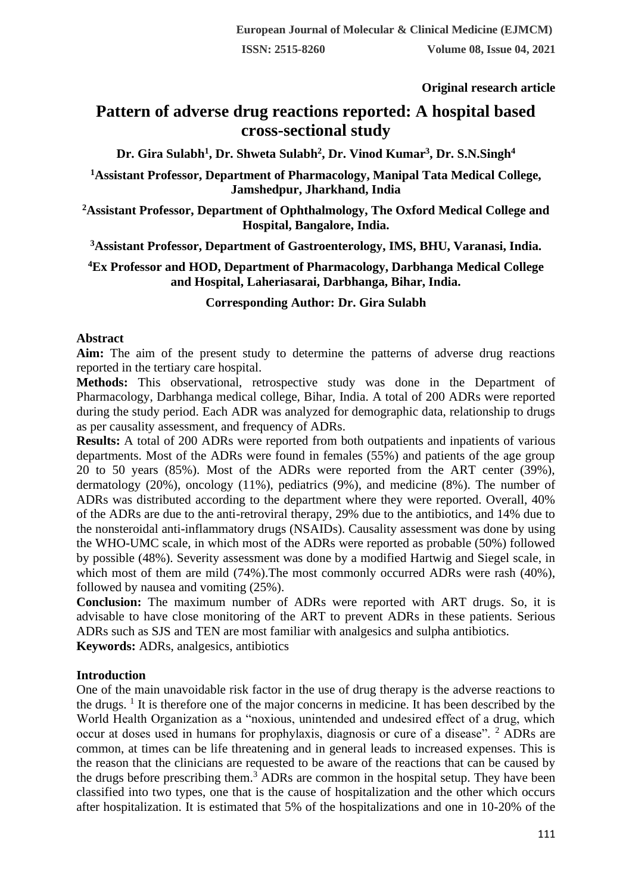**Original research article** 

# **Pattern of adverse drug reactions reported: A hospital based cross-sectional study**

**Dr. Gira Sulabh<sup>1</sup> , Dr. Shweta Sulabh<sup>2</sup> , Dr. Vinod Kumar<sup>3</sup> , Dr. S.N.Singh<sup>4</sup>**

**<sup>1</sup>Assistant Professor, Department of Pharmacology, Manipal Tata Medical College, Jamshedpur, Jharkhand, India**

**<sup>2</sup>Assistant Professor, Department of Ophthalmology, The Oxford Medical College and Hospital, Bangalore, India.**

**<sup>3</sup>Assistant Professor, Department of Gastroenterology, IMS, BHU, Varanasi, India.**

**<sup>4</sup>Ex Professor and HOD, Department of Pharmacology, Darbhanga Medical College and Hospital, Laheriasarai, Darbhanga, Bihar, India.**

**Corresponding Author: Dr. Gira Sulabh**

## **Abstract**

**Aim:** The aim of the present study to determine the patterns of adverse drug reactions reported in the tertiary care hospital.

**Methods:** This observational, retrospective study was done in the Department of Pharmacology, Darbhanga medical college, Bihar, India. A total of 200 ADRs were reported during the study period. Each ADR was analyzed for demographic data, relationship to drugs as per causality assessment, and frequency of ADRs.

**Results:** A total of 200 ADRs were reported from both outpatients and inpatients of various departments. Most of the ADRs were found in females (55%) and patients of the age group 20 to 50 years (85%). Most of the ADRs were reported from the ART center (39%), dermatology (20%), oncology (11%), pediatrics (9%), and medicine (8%). The number of ADRs was distributed according to the department where they were reported. Overall, 40% of the ADRs are due to the anti-retroviral therapy, 29% due to the antibiotics, and 14% due to the nonsteroidal anti-inflammatory drugs (NSAIDs). Causality assessment was done by using the WHO-UMC scale, in which most of the ADRs were reported as probable (50%) followed by possible (48%). Severity assessment was done by a modified Hartwig and Siegel scale, in which most of them are mild (74%). The most commonly occurred ADRs were rash (40%), followed by nausea and vomiting (25%).

**Conclusion:** The maximum number of ADRs were reported with ART drugs. So, it is advisable to have close monitoring of the ART to prevent ADRs in these patients. Serious ADRs such as SJS and TEN are most familiar with analgesics and sulpha antibiotics. **Keywords:** ADRs, analgesics, antibiotics

## **Introduction**

One of the main unavoidable risk factor in the use of drug therapy is the adverse reactions to the drugs.  $\frac{1}{1}$  It is therefore one of the major concerns in medicine. It has been described by the World Health Organization as a "noxious, unintended and undesired effect of a drug, which occur at doses used in humans for prophylaxis, diagnosis or cure of a disease". <sup>2</sup> ADRs are common, at times can be life threatening and in general leads to increased expenses. This is the reason that the clinicians are requested to be aware of the reactions that can be caused by the drugs before prescribing them.<sup>3</sup> ADRs are common in the hospital setup. They have been classified into two types, one that is the cause of hospitalization and the other which occurs after hospitalization. It is estimated that 5% of the hospitalizations and one in 10-20% of the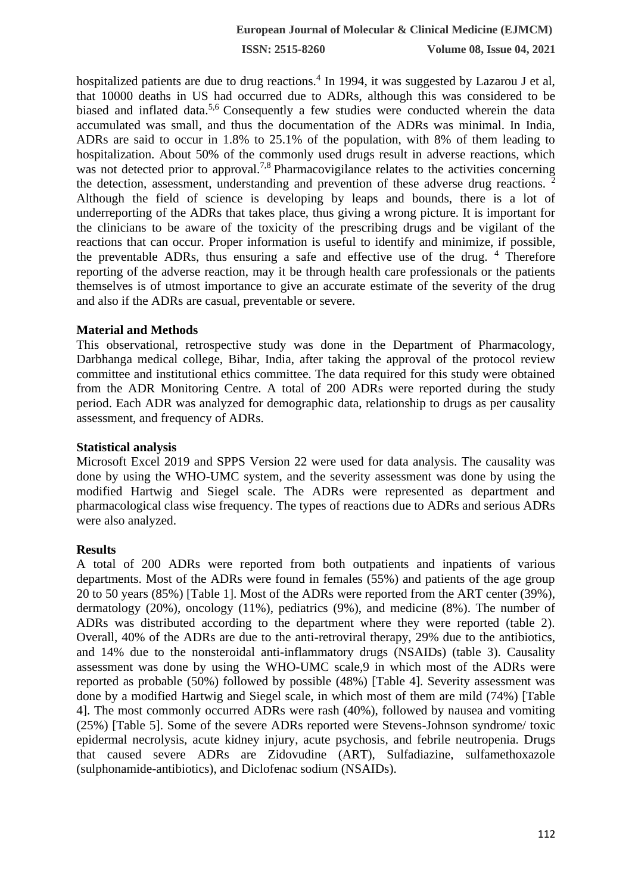**ISSN: 2515-8260 Volume 08, Issue 04, 2021**

hospitalized patients are due to drug reactions.<sup>4</sup> In 1994, it was suggested by Lazarou J et al, that 10000 deaths in US had occurred due to ADRs, although this was considered to be biased and inflated data.<sup>5,6</sup> Consequently a few studies were conducted wherein the data accumulated was small, and thus the documentation of the ADRs was minimal. In India, ADRs are said to occur in 1.8% to 25.1% of the population, with 8% of them leading to hospitalization. About 50% of the commonly used drugs result in adverse reactions, which was not detected prior to approval.<sup>7,8</sup> Pharmacovigilance relates to the activities concerning the detection, assessment, understanding and prevention of these adverse drug reactions.  $\frac{2}{3}$ Although the field of science is developing by leaps and bounds, there is a lot of underreporting of the ADRs that takes place, thus giving a wrong picture. It is important for the clinicians to be aware of the toxicity of the prescribing drugs and be vigilant of the reactions that can occur. Proper information is useful to identify and minimize, if possible, the preventable ADRs, thus ensuring a safe and effective use of the drug.  $4$  Therefore reporting of the adverse reaction, may it be through health care professionals or the patients themselves is of utmost importance to give an accurate estimate of the severity of the drug and also if the ADRs are casual, preventable or severe.

## **Material and Methods**

This observational, retrospective study was done in the Department of Pharmacology, Darbhanga medical college, Bihar, India, after taking the approval of the protocol review committee and institutional ethics committee. The data required for this study were obtained from the ADR Monitoring Centre. A total of 200 ADRs were reported during the study period. Each ADR was analyzed for demographic data, relationship to drugs as per causality assessment, and frequency of ADRs.

#### **Statistical analysis**

Microsoft Excel 2019 and SPPS Version 22 were used for data analysis. The causality was done by using the WHO-UMC system, and the severity assessment was done by using the modified Hartwig and Siegel scale. The ADRs were represented as department and pharmacological class wise frequency. The types of reactions due to ADRs and serious ADRs were also analyzed.

## **Results**

A total of 200 ADRs were reported from both outpatients and inpatients of various departments. Most of the ADRs were found in females (55%) and patients of the age group 20 to 50 years (85%) [Table 1]. Most of the ADRs were reported from the ART center (39%), dermatology (20%), oncology (11%), pediatrics (9%), and medicine (8%). The number of ADRs was distributed according to the department where they were reported (table 2). Overall, 40% of the ADRs are due to the anti-retroviral therapy, 29% due to the antibiotics, and 14% due to the nonsteroidal anti-inflammatory drugs (NSAIDs) (table 3). Causality assessment was done by using the WHO-UMC scale,9 in which most of the ADRs were reported as probable (50%) followed by possible (48%) [Table 4]. Severity assessment was done by a modified Hartwig and Siegel scale, in which most of them are mild (74%) [Table 4]. The most commonly occurred ADRs were rash (40%), followed by nausea and vomiting (25%) [Table 5]. Some of the severe ADRs reported were Stevens-Johnson syndrome/ toxic epidermal necrolysis, acute kidney injury, acute psychosis, and febrile neutropenia. Drugs that caused severe ADRs are Zidovudine (ART), Sulfadiazine, sulfamethoxazole (sulphonamide-antibiotics), and Diclofenac sodium (NSAIDs).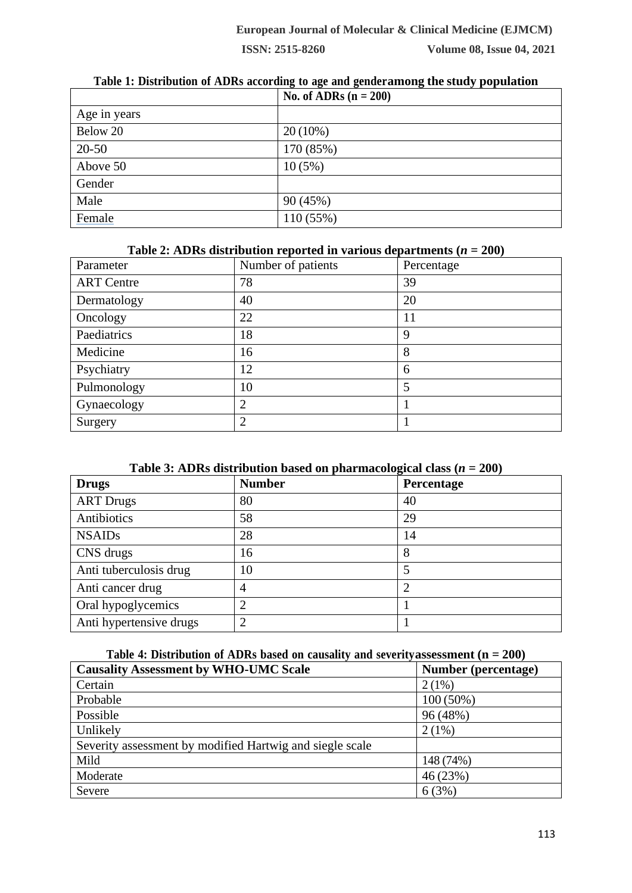**No. of ADRs (n = 200)** Age in years Below 20  $20(10\%)$ 20-50 170 (85%) Above 50 10 (5%) **Gender** Male  $90 (45\%)$ Female 110 (55%)

#### **Table 1: Distribution of ADRs according to age and genderamong the study population**

#### **Table 2: ADRs** distribution reported in various departments  $(n = 200)$

| Parameter         | Number of patients | Percentage |
|-------------------|--------------------|------------|
| <b>ART</b> Centre | 78                 | 39         |
| Dermatology       | 40                 | 20         |
| Oncology          | 22                 | 11         |
| Paediatrics       | 18                 | 9          |
| Medicine          | 16                 | 8          |
| Psychiatry        | 12                 | 6          |
| Pulmonology       | 10                 |            |
| Gynaecology       | $\overline{2}$     |            |
| Surgery           | $\overline{2}$     |            |

|  | Table 3: ADRs distribution based on pharmacological class $(n = 200)$ |  |  |
|--|-----------------------------------------------------------------------|--|--|
|--|-----------------------------------------------------------------------|--|--|

| <b>Drugs</b>            | <b>Number</b>  | Percentage |
|-------------------------|----------------|------------|
| <b>ART Drugs</b>        | 80             | 40         |
| Antibiotics             | 58             | 29         |
| <b>NSAIDs</b>           | 28             | 14         |
| CNS drugs               | 16             | 8          |
| Anti tuberculosis drug  | 10             |            |
| Anti cancer drug        | 4              | 2          |
| Oral hypoglycemics      | $\overline{2}$ |            |
| Anti hypertensive drugs | $\overline{2}$ |            |

#### **Table 4: Distribution of ADRs based on causality and severityassessment (n = 200)**

| <b>Causality Assessment by WHO-UMC Scale</b>             | Number (percentage) |
|----------------------------------------------------------|---------------------|
| Certain                                                  | $2(1\%)$            |
| Probable                                                 | $100(50\%)$         |
| Possible                                                 | 96 (48%)            |
| Unlikely                                                 | $2(1\%)$            |
| Severity assessment by modified Hartwig and siegle scale |                     |
| Mild                                                     | 148 (74%)           |
| Moderate                                                 | 46(23%)             |
| Severe                                                   | 6(3%)               |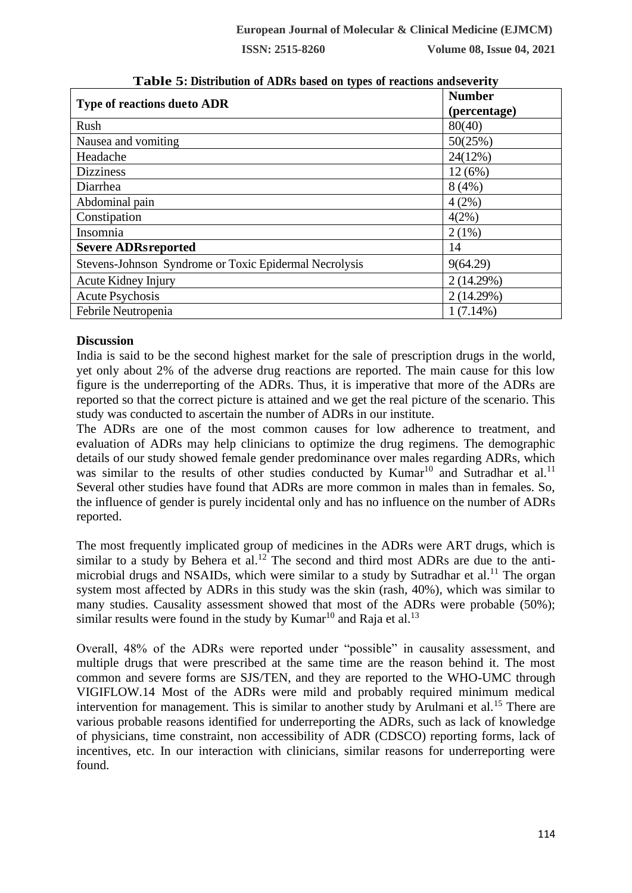**ISSN: 2515-8260 Volume 08, Issue 04, 2021**

| <b>Type of reactions due to ADR</b>                    | <b>Number</b><br>(percentage) |
|--------------------------------------------------------|-------------------------------|
| Rush                                                   | 80(40)                        |
| Nausea and vomiting                                    | 50(25%)                       |
| Headache                                               | 24(12%)                       |
| <b>Dizziness</b>                                       | $12(6\%)$                     |
| Diarrhea                                               | 8(4%)                         |
| Abdominal pain                                         | 4(2%)                         |
| Constipation                                           | $4(2\%)$                      |
| Insomnia                                               | $2(1\%)$                      |
| <b>Severe ADRsreported</b>                             | 14                            |
| Stevens-Johnson Syndrome or Toxic Epidermal Necrolysis | 9(64.29)                      |
| Acute Kidney Injury                                    | 2(14.29%)                     |
| <b>Acute Psychosis</b>                                 | 2(14.29%)                     |
| Febrile Neutropenia                                    | $1(7.14\%)$                   |

**Table 5: Distribution of ADRs based on types of reactions andseverity**

## **Discussion**

India is said to be the second highest market for the sale of prescription drugs in the world, yet only about 2% of the adverse drug reactions are reported. The main cause for this low figure is the underreporting of the ADRs. Thus, it is imperative that more of the ADRs are reported so that the correct picture is attained and we get the real picture of the scenario. This study was conducted to ascertain the number of ADRs in our institute.

The ADRs are one of the most common causes for low adherence to treatment, and evaluation of ADRs may help clinicians to optimize the drug regimens. The demographic details of our study showed female gender predominance over males regarding ADRs, which was similar to the results of other studies conducted by Kumar<sup>10</sup> and Sutradhar et al.<sup>11</sup> Several other studies have found that ADRs are more common in males than in females. So, the influence of gender is purely incidental only and has no influence on the number of ADRs reported.

The most frequently implicated group of medicines in the ADRs were ART drugs, which is similar to a study by Behera et al.<sup>12</sup> The second and third most ADRs are due to the antimicrobial drugs and NSAIDs, which were similar to a study by Sutradhar et al.<sup>11</sup> The organ system most affected by ADRs in this study was the skin (rash, 40%), which was similar to many studies. Causality assessment showed that most of the ADRs were probable (50%); similar results were found in the study by Kumar<sup>10</sup> and Raja et al.<sup>13</sup>

Overall, 48% of the ADRs were reported under "possible" in causality assessment, and multiple drugs that were prescribed at the same time are the reason behind it. The most common and severe forms are SJS/TEN, and they are reported to the WHO-UMC through VIGIFLOW.14 Most of the ADRs were mild and probably required minimum medical intervention for management. This is similar to another study by Arulmani et al.<sup>15</sup> There are various probable reasons identified for underreporting the ADRs, such as lack of knowledge of physicians, time constraint, non accessibility of ADR (CDSCO) reporting forms, lack of incentives, etc. In our interaction with clinicians, similar reasons for underreporting were found.